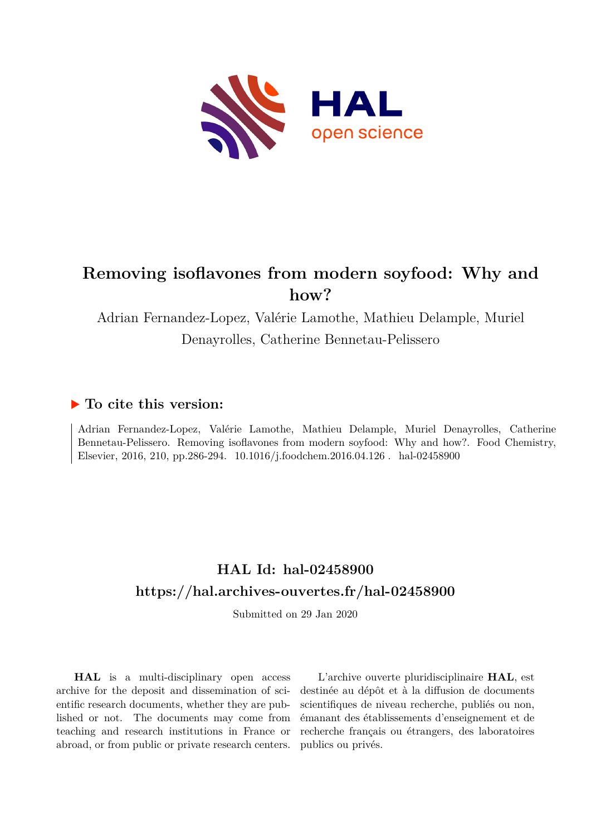

# **Removing isoflavones from modern soyfood: Why and how?**

Adrian Fernandez-Lopez, Valérie Lamothe, Mathieu Delample, Muriel Denayrolles, Catherine Bennetau-Pelissero

## **To cite this version:**

Adrian Fernandez-Lopez, Valérie Lamothe, Mathieu Delample, Muriel Denayrolles, Catherine Bennetau-Pelissero. Removing isoflavones from modern soyfood: Why and how?. Food Chemistry, Elsevier, 2016, 210, pp.286-294. 10.1016/j.foodchem.2016.04.126 . hal-02458900

# **HAL Id: hal-02458900 <https://hal.archives-ouvertes.fr/hal-02458900>**

Submitted on 29 Jan 2020

**HAL** is a multi-disciplinary open access archive for the deposit and dissemination of scientific research documents, whether they are published or not. The documents may come from teaching and research institutions in France or abroad, or from public or private research centers.

L'archive ouverte pluridisciplinaire **HAL**, est destinée au dépôt et à la diffusion de documents scientifiques de niveau recherche, publiés ou non, émanant des établissements d'enseignement et de recherche français ou étrangers, des laboratoires publics ou privés.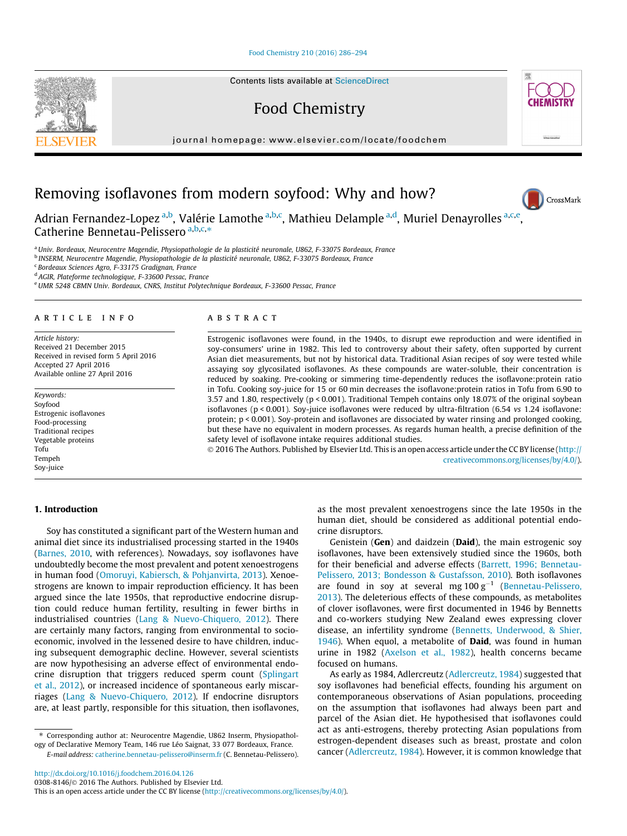## [Food Chemistry 210 \(2016\) 286–294](http://dx.doi.org/10.1016/j.foodchem.2016.04.126)

Contents lists available at [ScienceDirect](http://www.sciencedirect.com/science/journal/03088146)

Food Chemistry

journal homepage: [www.elsevier.com/locate/foodchem](http://www.elsevier.com/locate/foodchem)

## Removing isoflavones from modern soyfood: Why and how?

Adrian Fernandez-Lopez <sup>a,b</sup>, Valérie Lamothe <sup>a,b,c</sup>, Mathieu Delample <sup>a,d</sup>, Muriel Denayrolles <sup>a,c,e</sup>, Catherine Bennetau-Pelissero a,b,c,\*

<sup>a</sup> Univ. Bordeaux, Neurocentre Magendie, Physiopathologie de la plasticité neuronale, U862, F-33075 Bordeaux, France

<sup>b</sup> INSERM, Neurocentre Magendie, Physiopathologie de la plasticité neuronale, U862, F-33075 Bordeaux, France

<sup>c</sup> Bordeaux Sciences Agro, F-33175 Gradignan, France

<sup>d</sup> AGIR, Plateforme technologique, F-33600 Pessac, France

e UMR 5248 CBMN Univ. Bordeaux, CNRS, Institut Polytechnique Bordeaux, F-33600 Pessac, France

## article info

Article history: Received 21 December 2015 Received in revised form 5 April 2016 Accepted 27 April 2016 Available online 27 April 2016

Keywords: Soyfood Estrogenic isoflavones Food-processing Traditional recipes Vegetable proteins Tofu Tempeh Soy-juice

1. Introduction

## **ABSTRACT**

Estrogenic isoflavones were found, in the 1940s, to disrupt ewe reproduction and were identified in soy-consumers' urine in 1982. This led to controversy about their safety, often supported by current Asian diet measurements, but not by historical data. Traditional Asian recipes of soy were tested while assaying soy glycosilated isoflavones. As these compounds are water-soluble, their concentration is reduced by soaking. Pre-cooking or simmering time-dependently reduces the isoflavone:protein ratio in Tofu. Cooking soy-juice for 15 or 60 min decreases the isoflavone:protein ratios in Tofu from 6.90 to 3.57 and 1.80, respectively (p < 0.001). Traditional Tempeh contains only 18.07% of the original soybean isoflavones (p < 0.001). Soy-juice isoflavones were reduced by ultra-filtration (6.54 vs 1.24 isoflavone: protein; p < 0.001). Soy-protein and isoflavones are dissociated by water rinsing and prolonged cooking, but these have no equivalent in modern processes. As regards human health, a precise definition of the safety level of isoflavone intake requires additional studies.

 2016 The Authors. Published by Elsevier Ltd. This is an open access article under the CC BY license ([http://](http://creativecommons.org/licenses/by/4.0/) [creativecommons.org/licenses/by/4.0/](http://creativecommons.org/licenses/by/4.0/)).

Soy has constituted a significant part of the Western human and animal diet since its industrialised processing started in the 1940s (Barnes, 2010, with references). Nowadays, soy isoflavones have undoubtedly become the most prevalent and potent xenoestrogens in human food (Omoruyi, Kabiersch, & Pohjanvirta, 2013). Xenoestrogens are known to impair reproduction efficiency. It has been argued since the late 1950s, that reproductive endocrine disruption could reduce human fertility, resulting in fewer births in industrialised countries (Lang & Nuevo-Chiquero, 2012). There are certainly many factors, ranging from environmental to socioeconomic, involved in the lessened desire to have children, inducing subsequent demographic decline. However, several scientists are now hypothesising an adverse effect of environmental endocrine disruption that triggers reduced sperm count (Splingart et al., 2012), or increased incidence of spontaneous early miscarriages (Lang & Nuevo-Chiquero, 2012). If endocrine disruptors

are, at least partly, responsible for this situation, then isoflavones,

⇑ Corresponding author at: Neurocentre Magendie, U862 Inserm, Physiopathology of Declarative Memory Team, 146 rue Léo Saignat, 33 077 Bordeaux, France.

as the most prevalent xenoestrogens since the late 1950s in the human diet, should be considered as additional potential endocrine disruptors.

Genistein (Gen) and daidzein (Daid), the main estrogenic soy isoflavones, have been extensively studied since the 1960s, both for their beneficial and adverse effects (Barrett, 1996; Bennetau-Pelissero, 2013; Bondesson & Gustafsson, 2010). Both isoflavones are found in soy at several mg  $100 g^{-1}$  (Bennetau-Pelissero, 2013). The deleterious effects of these compounds, as metabolites of clover isoflavones, were first documented in 1946 by Bennetts and co-workers studying New Zealand ewes expressing clover disease, an infertility syndrome (Bennetts, Underwood, & Shier, 1946). When equol, a metabolite of **Daid**, was found in human urine in 1982 (Axelson et al., 1982), health concerns became focused on humans.

As early as 1984, Adlercreutz (Adlercreutz, 1984) suggested that soy isoflavones had beneficial effects, founding his argument on contemporaneous observations of Asian populations, proceeding on the assumption that isoflavones had always been part and parcel of the Asian diet. He hypothesised that isoflavones could act as anti-estrogens, thereby protecting Asian populations from estrogen-dependent diseases such as breast, prostate and colon cancer (Adlercreutz, 1984). However, it is common knowledge that





CrossMark

E-mail address: [catherine.bennetau-pelissero@inserm.fr](mailto:catherine.bennetau-pelissero@inserm.fr) (C. Bennetau-Pelissero).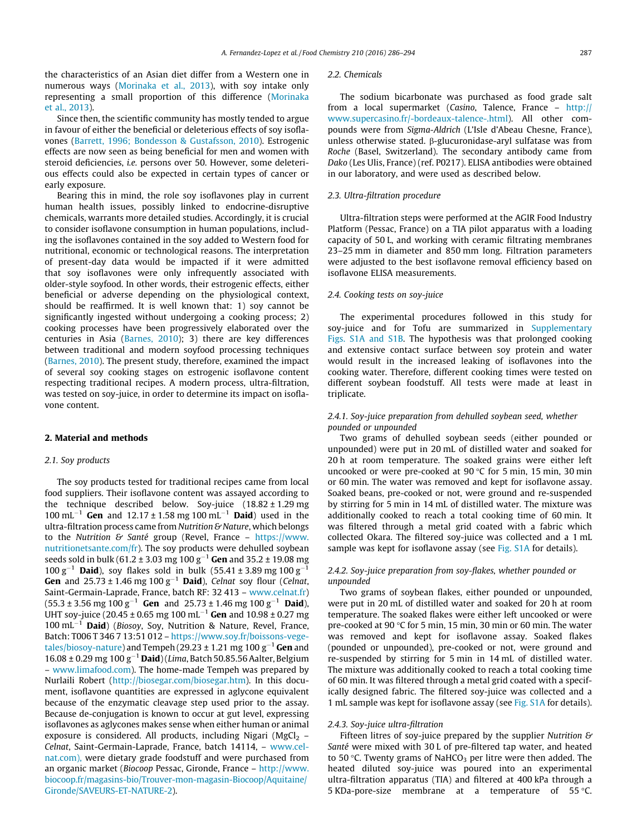the characteristics of an Asian diet differ from a Western one in numerous ways (Morinaka et al., 2013), with soy intake only representing a small proportion of this difference (Morinaka et al., 2013).

Since then, the scientific community has mostly tended to argue in favour of either the beneficial or deleterious effects of soy isoflavones (Barrett, 1996; Bondesson & Gustafsson, 2010). Estrogenic effects are now seen as being beneficial for men and women with steroid deficiencies, i.e. persons over 50. However, some deleterious effects could also be expected in certain types of cancer or early exposure.

Bearing this in mind, the role soy isoflavones play in current human health issues, possibly linked to endocrine-disruptive chemicals, warrants more detailed studies. Accordingly, it is crucial to consider isoflavone consumption in human populations, including the isoflavones contained in the soy added to Western food for nutritional, economic or technological reasons. The interpretation of present-day data would be impacted if it were admitted that soy isoflavones were only infrequently associated with older-style soyfood. In other words, their estrogenic effects, either beneficial or adverse depending on the physiological context, should be reaffirmed. It is well known that: 1) soy cannot be significantly ingested without undergoing a cooking process; 2) cooking processes have been progressively elaborated over the centuries in Asia (Barnes, 2010); 3) there are key differences between traditional and modern soyfood processing techniques (Barnes, 2010). The present study, therefore, examined the impact of several soy cooking stages on estrogenic isoflavone content respecting traditional recipes. A modern process, ultra-filtration, was tested on soy-juice, in order to determine its impact on isoflavone content.

## 2. Material and methods

## 2.1. Soy products

The soy products tested for traditional recipes came from local food suppliers. Their isoflavone content was assayed according to the technique described below. Soy-juice  $(18.82 \pm 1.29 \text{ mg})$ 100 mL<sup>-1</sup> Gen and 12.17 ± 1.58 mg 100 mL<sup>-1</sup> Daid) used in the ultra-filtration process came from Nutrition & Nature, which belongs to the Nutrition & Santé group (Revel, France – [https://www.](https://www.nutritionetsante.com/fr) [nutritionetsante.com/fr\)](https://www.nutritionetsante.com/fr). The soy products were dehulled soybean seeds sold in bulk (61.2  $\pm$  3.03 mg 100 g<sup>-1</sup> Gen and 35.2  $\pm$  19.08 mg  $100 \text{ g}^{-1}$  Daid), soy flakes sold in bulk (55.41 ± 3.89 mg 100 g<sup>-1</sup> Gen and  $25.73 \pm 1.46$  mg  $100 \text{ g}^{-1}$  Daid), Celnat soy flour (Celnat, Saint-Germain-Laprade, France, batch RF: 32 413 – [www.celnat.fr\)](http://www.celnat.fr)  $(55.3 \pm 3.56 \text{ mg } 100 \text{ g}^{-1}$  Gen and  $25.73 \pm 1.46 \text{ mg } 100 \text{ g}^{-1}$  Daid), UHT soy-juice (20.45 ± 0.65 mg 100 mL<sup>-1</sup> Gen and 10.98 ± 0.27 mg  $100 \text{ mL}^{-1}$  Daid) (Biosoy, Soy, Nutrition & Nature, Revel, France, Batch: T006 T 346 7 13:51 012 – [https://www.soy.fr/boissons-vege](https://www.soy.fr/boissons-vegetales/biosoy-nature)[tales/biosoy-nature\)](https://www.soy.fr/boissons-vegetales/biosoy-nature) and Tempeh (29.23  $\pm$  1.21 mg 100 g<sup>-1</sup> Gen and 16.08 ± 0.29 mg 100  $g^{-1}$  Daid) (*Lima*, Batch 50.85.56 Aalter, Belgium – [www.limafood.com](http://www.limafood.com)). The home-made Tempeh was prepared by Nurlaili Robert (<http://biosegar.com/biosegar.htm>). In this document, isoflavone quantities are expressed in aglycone equivalent because of the enzymatic cleavage step used prior to the assay. Because de-conjugation is known to occur at gut level, expressing isoflavones as aglycones makes sense when either human or animal exposure is considered. All products, including Nigari ( $MgCl<sub>2</sub>$  – Celnat, Saint-Germain-Laprade, France, batch 14114, – [www.cel](http://www.celnat.com),)[nat.com\),](http://www.celnat.com),) were dietary grade foodstuff and were purchased from an organic market (Biocoop Pessac, Gironde, France – [http://www.](http://www.biocoop.fr/magasins-bio/Trouver-mon-magasin-Biocoop/Aquitaine/Gironde/SAVEURS-ET-NATURE-2) [biocoop.fr/magasins-bio/Trouver-mon-magasin-Biocoop/Aquitaine/](http://www.biocoop.fr/magasins-bio/Trouver-mon-magasin-Biocoop/Aquitaine/Gironde/SAVEURS-ET-NATURE-2) [Gironde/SAVEURS-ET-NATURE-2\)](http://www.biocoop.fr/magasins-bio/Trouver-mon-magasin-Biocoop/Aquitaine/Gironde/SAVEURS-ET-NATURE-2).

#### 2.2. Chemicals

The sodium bicarbonate was purchased as food grade salt from a local supermarket (Casino, Talence, France – [http://](http://www.supercasino.fr/-bordeaux-talence-.html) [www.supercasino.fr/-bordeaux-talence-.html\)](http://www.supercasino.fr/-bordeaux-talence-.html). All other compounds were from Sigma-Aldrich (L'Isle d'Abeau Chesne, France), unless otherwise stated.  $\beta$ -glucuronidase-aryl sulfatase was from Roche (Basel, Switzerland). The secondary antibody came from Dako (Les Ulis, France) (ref. P0217). ELISA antibodies were obtained in our laboratory, and were used as described below.

## 2.3. Ultra-filtration procedure

Ultra-filtration steps were performed at the AGIR Food Industry Platform (Pessac, France) on a TIA pilot apparatus with a loading capacity of 50 L, and working with ceramic filtrating membranes 23–25 mm in diameter and 850 mm long. Filtration parameters were adjusted to the best isoflavone removal efficiency based on isoflavone ELISA measurements.

## 2.4. Cooking tests on soy-juice

The experimental procedures followed in this study for soy-juice and for Tofu are summarized in Supplementary Figs. S1A and S1B. The hypothesis was that prolonged cooking and extensive contact surface between soy protein and water would result in the increased leaking of isoflavones into the cooking water. Therefore, different cooking times were tested on different soybean foodstuff. All tests were made at least in triplicate.

## 2.4.1. Soy-juice preparation from dehulled soybean seed, whether pounded or unpounded

Two grams of dehulled soybean seeds (either pounded or unpounded) were put in 20 mL of distilled water and soaked for 20 h at room temperature. The soaked grains were either left uncooked or were pre-cooked at 90  $\degree$ C for 5 min, 15 min, 30 min or 60 min. The water was removed and kept for isoflavone assay. Soaked beans, pre-cooked or not, were ground and re-suspended by stirring for 5 min in 14 mL of distilled water. The mixture was additionally cooked to reach a total cooking time of 60 min. It was filtered through a metal grid coated with a fabric which collected Okara. The filtered soy-juice was collected and a 1 mL sample was kept for isoflavone assay (see Fig. S1A for details).

## 2.4.2. Soy-juice preparation from soy-flakes, whether pounded or unpounded

Two grams of soybean flakes, either pounded or unpounded, were put in 20 mL of distilled water and soaked for 20 h at room temperature. The soaked flakes were either left uncooked or were pre-cooked at 90 °C for 5 min, 15 min, 30 min or 60 min. The water was removed and kept for isoflavone assay. Soaked flakes (pounded or unpounded), pre-cooked or not, were ground and re-suspended by stirring for 5 min in 14 mL of distilled water. The mixture was additionally cooked to reach a total cooking time of 60 min. It was filtered through a metal grid coated with a specifically designed fabric. The filtered soy-juice was collected and a 1 mL sample was kept for isoflavone assay (see Fig. S1A for details).

## 2.4.3. Soy-juice ultra-filtration

Fifteen litres of soy-juice prepared by the supplier Nutrition  $\Theta$ Santé were mixed with 30 L of pre-filtered tap water, and heated to 50  $\degree$ C. Twenty grams of NaHCO<sub>3</sub> per litre were then added. The heated diluted soy-juice was poured into an experimental ultra-filtration apparatus (TIA) and filtered at 400 kPa through a 5 KDa-pore-size membrane at a temperature of 55 C.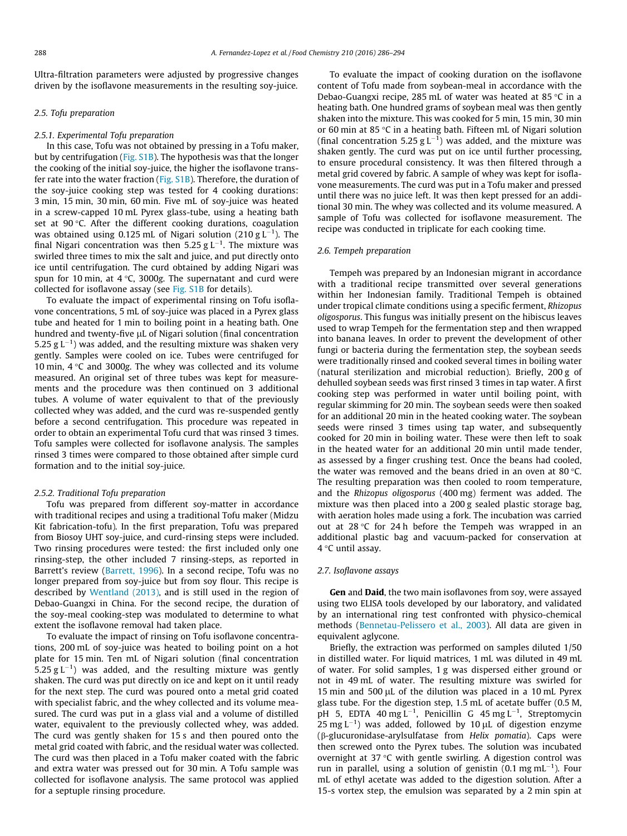Ultra-filtration parameters were adjusted by progressive changes driven by the isoflavone measurements in the resulting soy-juice.

#### 2.5. Tofu preparation

#### 2.5.1. Experimental Tofu preparation

In this case, Tofu was not obtained by pressing in a Tofu maker, but by centrifugation (Fig. S1B). The hypothesis was that the longer the cooking of the initial soy-juice, the higher the isoflavone transfer rate into the water fraction (Fig. S1B). Therefore, the duration of the soy-juice cooking step was tested for 4 cooking durations: 3 min, 15 min, 30 min, 60 min. Five mL of soy-juice was heated in a screw-capped 10 mL Pyrex glass-tube, using a heating bath set at 90 °C. After the different cooking durations, coagulation was obtained using 0.125 mL of Nigari solution (210 g  $L^{-1}$ ). The final Nigari concentration was then 5.25 g L<sup>-1</sup>. The mixture was swirled three times to mix the salt and juice, and put directly onto ice until centrifugation. The curd obtained by adding Nigari was spun for 10 min, at  $4^{\circ}$ C, 3000g. The supernatant and curd were collected for isoflavone assay (see Fig. S1B for details).

To evaluate the impact of experimental rinsing on Tofu isoflavone concentrations, 5 mL of soy-juice was placed in a Pyrex glass tube and heated for 1 min to boiling point in a heating bath. One hundred and twenty-five µL of Nigari solution (final concentration 5.25 g L $^{-1}$ ) was added, and the resulting mixture was shaken very gently. Samples were cooled on ice. Tubes were centrifuged for 10 min,  $4^{\circ}$ C and 3000g. The whey was collected and its volume measured. An original set of three tubes was kept for measurements and the procedure was then continued on 3 additional tubes. A volume of water equivalent to that of the previously collected whey was added, and the curd was re-suspended gently before a second centrifugation. This procedure was repeated in order to obtain an experimental Tofu curd that was rinsed 3 times. Tofu samples were collected for isoflavone analysis. The samples rinsed 3 times were compared to those obtained after simple curd formation and to the initial soy-juice.

## 2.5.2. Traditional Tofu preparation

Tofu was prepared from different soy-matter in accordance with traditional recipes and using a traditional Tofu maker (Midzu Kit fabrication-tofu). In the first preparation, Tofu was prepared from Biosoy UHT soy-juice, and curd-rinsing steps were included. Two rinsing procedures were tested: the first included only one rinsing-step, the other included 7 rinsing-steps, as reported in Barrett's review (Barrett, 1996). In a second recipe, Tofu was no longer prepared from soy-juice but from soy flour. This recipe is described by Wentland (2013), and is still used in the region of Debao-Guangxi in China. For the second recipe, the duration of the soy-meal cooking-step was modulated to determine to what extent the isoflavone removal had taken place.

To evaluate the impact of rinsing on Tofu isoflavone concentrations, 200 mL of soy-juice was heated to boiling point on a hot plate for 15 min. Ten mL of Nigari solution (final concentration 5.25 g  $L^{-1}$ ) was added, and the resulting mixture was gently shaken. The curd was put directly on ice and kept on it until ready for the next step. The curd was poured onto a metal grid coated with specialist fabric, and the whey collected and its volume measured. The curd was put in a glass vial and a volume of distilled water, equivalent to the previously collected whey, was added. The curd was gently shaken for 15 s and then poured onto the metal grid coated with fabric, and the residual water was collected. The curd was then placed in a Tofu maker coated with the fabric and extra water was pressed out for 30 min. A Tofu sample was collected for isoflavone analysis. The same protocol was applied for a septuple rinsing procedure.

To evaluate the impact of cooking duration on the isoflavone content of Tofu made from soybean-meal in accordance with the Debao-Guangxi recipe, 285 mL of water was heated at 85  $\degree$ C in a heating bath. One hundred grams of soybean meal was then gently shaken into the mixture. This was cooked for 5 min, 15 min, 30 min or 60 min at 85  $\degree$ C in a heating bath. Fifteen mL of Nigari solution (final concentration 5.25  $g L^{-1}$ ) was added, and the mixture was shaken gently. The curd was put on ice until further processing, to ensure procedural consistency. It was then filtered through a metal grid covered by fabric. A sample of whey was kept for isoflavone measurements. The curd was put in a Tofu maker and pressed until there was no juice left. It was then kept pressed for an additional 30 min. The whey was collected and its volume measured. A sample of Tofu was collected for isoflavone measurement. The recipe was conducted in triplicate for each cooking time.

#### 2.6. Tempeh preparation

Tempeh was prepared by an Indonesian migrant in accordance with a traditional recipe transmitted over several generations within her Indonesian family. Traditional Tempeh is obtained under tropical climate conditions using a specific ferment, Rhizopus oligosporus. This fungus was initially present on the hibiscus leaves used to wrap Tempeh for the fermentation step and then wrapped into banana leaves. In order to prevent the development of other fungi or bacteria during the fermentation step, the soybean seeds were traditionally rinsed and cooked several times in boiling water (natural sterilization and microbial reduction). Briefly, 200 g of dehulled soybean seeds was first rinsed 3 times in tap water. A first cooking step was performed in water until boiling point, with regular skimming for 20 min. The soybean seeds were then soaked for an additional 20 min in the heated cooking water. The soybean seeds were rinsed 3 times using tap water, and subsequently cooked for 20 min in boiling water. These were then left to soak in the heated water for an additional 20 min until made tender, as assessed by a finger crushing test. Once the beans had cooled, the water was removed and the beans dried in an oven at 80 $\degree$ C. The resulting preparation was then cooled to room temperature, and the Rhizopus oligosporus (400 mg) ferment was added. The mixture was then placed into a 200 g sealed plastic storage bag, with aeration holes made using a fork. The incubation was carried out at 28  $\degree$ C for 24 h before the Tempeh was wrapped in an additional plastic bag and vacuum-packed for conservation at  $4^{\circ}$ C until assay.

#### 2.7. Isoflavone assays

Gen and Daid, the two main isoflavones from soy, were assayed using two ELISA tools developed by our laboratory, and validated by an international ring test confronted with physico-chemical methods (Bennetau-Pelissero et al., 2003). All data are given in equivalent aglycone.

Briefly, the extraction was performed on samples diluted 1/50 in distilled water. For liquid matrices, 1 mL was diluted in 49 mL of water. For solid samples, 1 g was dispersed either ground or not in 49 mL of water. The resulting mixture was swirled for 15 min and 500  $\mu$ L of the dilution was placed in a 10 mL Pyrex glass tube. For the digestion step, 1.5 mL of acetate buffer (0.5 M, pH 5, EDTA 40 mg L<sup>-1</sup>, Penicillin G 45 mg L<sup>-1</sup>, Streptomycin  $25 \text{ mg } L^{-1}$ ) was added, followed by 10 µL of digestion enzyme (b-glucuronidase-arylsulfatase from Helix pomatia). Caps were then screwed onto the Pyrex tubes. The solution was incubated overnight at  $37^{\circ}$ C with gentle swirling. A digestion control was run in parallel, using a solution of genistin (0.1 mg mL $^{-1}$ ). Four mL of ethyl acetate was added to the digestion solution. After a 15-s vortex step, the emulsion was separated by a 2 min spin at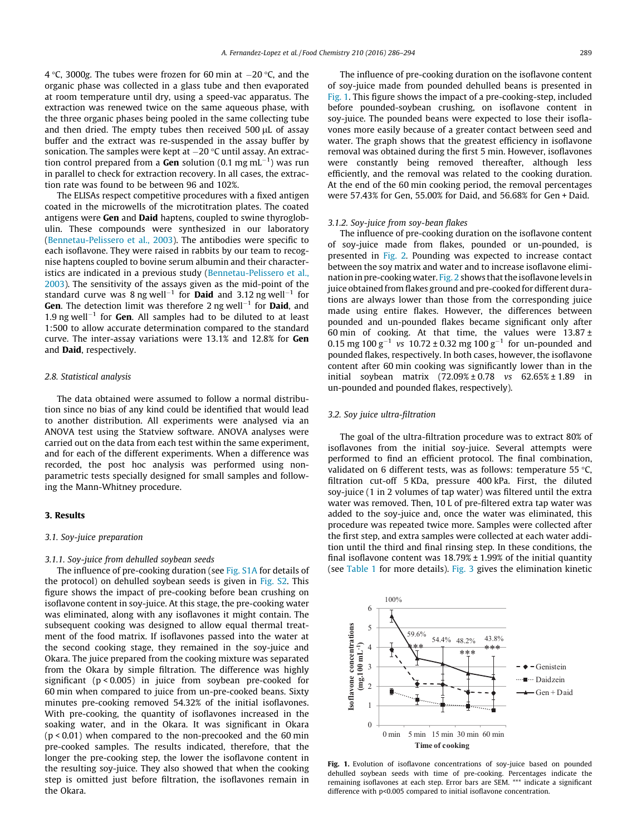4 °C, 3000g. The tubes were frozen for 60 min at  $-20$  °C, and the organic phase was collected in a glass tube and then evaporated at room temperature until dry, using a speed-vac apparatus. The extraction was renewed twice on the same aqueous phase, with the three organic phases being pooled in the same collecting tube and then dried. The empty tubes then received  $500 \mu$ L of assay buffer and the extract was re-suspended in the assay buffer by sonication. The samples were kept at  $-20$  °C until assay. An extraction control prepared from a **Gen** solution (0.1 mg mL $^{-1}$ ) was run in parallel to check for extraction recovery. In all cases, the extraction rate was found to be between 96 and 102%.

The ELISAs respect competitive procedures with a fixed antigen coated in the microwells of the microtitration plates. The coated antigens were Gen and Daid haptens, coupled to swine thyroglobulin. These compounds were synthesized in our laboratory (Bennetau-Pelissero et al., 2003). The antibodies were specific to each isoflavone. They were raised in rabbits by our team to recognise haptens coupled to bovine serum albumin and their characteristics are indicated in a previous study (Bennetau-Pelissero et al., 2003). The sensitivity of the assays given as the mid-point of the standard curve was 8 ng well<sup>-1</sup> for **Daid** and 3.12 ng well<sup>-1</sup> for **Gen.** The detection limit was therefore 2 ng well<sup>-1</sup> for **Daid**, and 1.9 ng well<sup>-1</sup> for **Gen**. All samples had to be diluted to at least 1:500 to allow accurate determination compared to the standard curve. The inter-assay variations were 13.1% and 12.8% for Gen and Daid, respectively.

## 2.8. Statistical analysis

The data obtained were assumed to follow a normal distribution since no bias of any kind could be identified that would lead to another distribution. All experiments were analysed via an ANOVA test using the Statview software. ANOVA analyses were carried out on the data from each test within the same experiment, and for each of the different experiments. When a difference was recorded, the post hoc analysis was performed using nonparametric tests specially designed for small samples and following the Mann-Whitney procedure.

## 3. Results

## 3.1. Soy-juice preparation

#### 3.1.1. Soy-juice from dehulled soybean seeds

The influence of pre-cooking duration (see Fig. S1A for details of the protocol) on dehulled soybean seeds is given in Fig. S2. This figure shows the impact of pre-cooking before bean crushing on isoflavone content in soy-juice. At this stage, the pre-cooking water was eliminated, along with any isoflavones it might contain. The subsequent cooking was designed to allow equal thermal treatment of the food matrix. If isoflavones passed into the water at the second cooking stage, they remained in the soy-juice and Okara. The juice prepared from the cooking mixture was separated from the Okara by simple filtration. The difference was highly significant (p < 0.005) in juice from soybean pre-cooked for 60 min when compared to juice from un-pre-cooked beans. Sixty minutes pre-cooking removed 54.32% of the initial isoflavones. With pre-cooking, the quantity of isoflavones increased in the soaking water, and in the Okara. It was significant in Okara  $(p < 0.01)$  when compared to the non-precooked and the 60 min pre-cooked samples. The results indicated, therefore, that the longer the pre-cooking step, the lower the isoflavone content in the resulting soy-juice. They also showed that when the cooking step is omitted just before filtration, the isoflavones remain in the Okara.

The influence of pre-cooking duration on the isoflavone content of soy-juice made from pounded dehulled beans is presented in Fig. 1. This figure shows the impact of a pre-cooking-step, included before pounded-soybean crushing, on isoflavone content in soy-juice. The pounded beans were expected to lose their isoflavones more easily because of a greater contact between seed and water. The graph shows that the greatest efficiency in isoflavone removal was obtained during the first 5 min. However, isoflavones were constantly being removed thereafter, although less efficiently, and the removal was related to the cooking duration. At the end of the 60 min cooking period, the removal percentages were 57.43% for Gen, 55.00% for Daid, and 56.68% for Gen + Daid.

#### 3.1.2. Soy-juice from soy-bean flakes

The influence of pre-cooking duration on the isoflavone content of soy-juice made from flakes, pounded or un-pounded, is presented in Fig. 2. Pounding was expected to increase contact between the soy matrix and water and to increase isoflavone elimination in pre-cooking water. Fig. 2 shows that the isoflavone levels in juice obtained from flakes ground and pre-cooked for different durations are always lower than those from the corresponding juice made using entire flakes. However, the differences between pounded and un-pounded flakes became significant only after 60 min of cooking. At that time, the values were  $13.87 \pm$ 0.15 mg 100 g<sup>-1</sup> vs 10.72 ± 0.32 mg 100 g<sup>-1</sup> for un-pounded and pounded flakes, respectively. In both cases, however, the isoflavone content after 60 min cooking was significantly lower than in the initial soybean matrix  $(72.09\% \pm 0.78$  vs  $62.65\% \pm 1.89$  in un-pounded and pounded flakes, respectively).

#### 3.2. Soy juice ultra-filtration

The goal of the ultra-filtration procedure was to extract 80% of isoflavones from the initial soy-juice. Several attempts were performed to find an efficient protocol. The final combination, validated on 6 different tests, was as follows: temperature 55 $\degree$ C, filtration cut-off 5 KDa, pressure 400 kPa. First, the diluted soy-juice (1 in 2 volumes of tap water) was filtered until the extra water was removed. Then, 10 L of pre-filtered extra tap water was added to the soy-juice and, once the water was eliminated, this procedure was repeated twice more. Samples were collected after the first step, and extra samples were collected at each water addition until the third and final rinsing step. In these conditions, the final isoflavone content was  $18.79\% \pm 1.99\%$  of the initial quantity (see Table 1 for more details). Fig. 3 gives the elimination kinetic



Fig. 1. Evolution of isoflavone concentrations of soy-juice based on pounded dehulled soybean seeds with time of pre-cooking. Percentages indicate the remaining isoflavones at each step. Error bars are SEM. \*\*\* indicate a significant difference with p<0.005 compared to initial isoflavone concentration.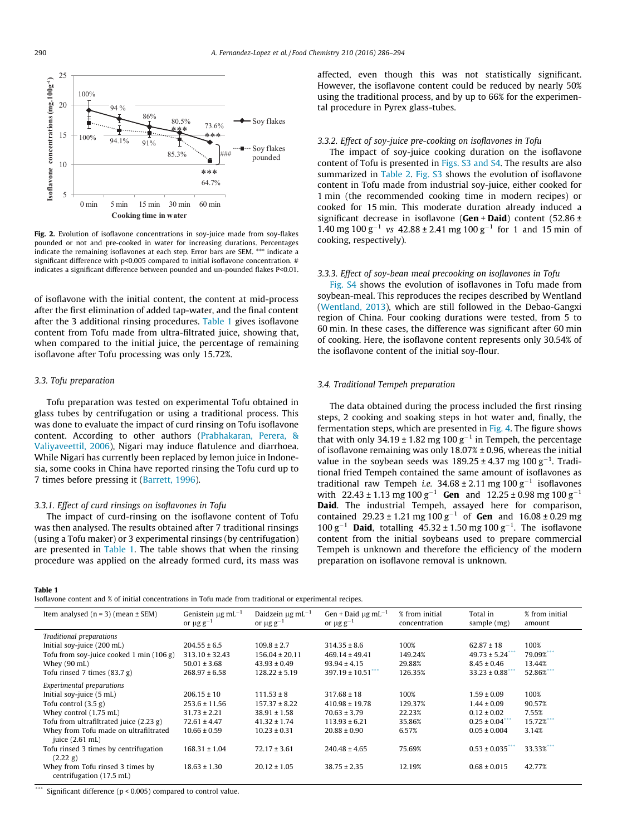

Fig. 2. Evolution of isoflavone concentrations in soy-juice made from soy-flakes pounded or not and pre-cooked in water for increasing durations. Percentages indicate the remaining isoflavones at each step. Error bars are SEM. \*\*\* indicate a significant difference with p<0.005 compared to initial isoflavone concentration. # indicates a significant difference between pounded and un-pounded flakes P<0.01.

of isoflavone with the initial content, the content at mid-process after the first elimination of added tap-water, and the final content after the 3 additional rinsing procedures. Table 1 gives isoflavone content from Tofu made from ultra-filtrated juice, showing that, when compared to the initial juice, the percentage of remaining isoflavone after Tofu processing was only 15.72%.

#### 3.3. Tofu preparation

Tofu preparation was tested on experimental Tofu obtained in glass tubes by centrifugation or using a traditional process. This was done to evaluate the impact of curd rinsing on Tofu isoflavone content. According to other authors (Prabhakaran, Perera, & Valiyaveettil, 2006), Nigari may induce flatulence and diarrhoea. While Nigari has currently been replaced by lemon juice in Indonesia, some cooks in China have reported rinsing the Tofu curd up to 7 times before pressing it (Barrett, 1996).

## 3.3.1. Effect of curd rinsings on isoflavones in Tofu

The impact of curd-rinsing on the isoflavone content of Tofu was then analysed. The results obtained after 7 traditional rinsings (using a Tofu maker) or 3 experimental rinsings (by centrifugation) are presented in Table 1. The table shows that when the rinsing procedure was applied on the already formed curd, its mass was affected, even though this was not statistically significant. However, the isoflavone content could be reduced by nearly 50% using the traditional process, and by up to 66% for the experimental procedure in Pyrex glass-tubes.

#### 3.3.2. Effect of soy-juice pre-cooking on isoflavones in Tofu

The impact of soy-juice cooking duration on the isoflavone content of Tofu is presented in Figs. S3 and S4. The results are also summarized in Table 2. Fig. S3 shows the evolution of isoflavone content in Tofu made from industrial soy-juice, either cooked for 1 min (the recommended cooking time in modern recipes) or cooked for 15 min. This moderate duration already induced a significant decrease in isoflavone (Gen + Daid) content  $(52.86 \pm$ 1.40 mg 100 g<sup>-1</sup> vs  $42.88 \pm 2.41$  mg 100 g<sup>-1</sup> for 1 and 15 min of cooking, respectively).

## 3.3.3. Effect of soy-bean meal precooking on isoflavones in Tofu

Fig. S4 shows the evolution of isoflavones in Tofu made from soybean-meal. This reproduces the recipes described by Wentland (Wentland, 2013), which are still followed in the Debao-Gangxi region of China. Four cooking durations were tested, from 5 to 60 min. In these cases, the difference was significant after 60 min of cooking. Here, the isoflavone content represents only 30.54% of the isoflavone content of the initial soy-flour.

## 3.4. Traditional Tempeh preparation

The data obtained during the process included the first rinsing steps, 2 cooking and soaking steps in hot water and, finally, the fermentation steps, which are presented in  $Fig. 4$ . The figure shows that with only  $34.19 \pm 1.82$  mg  $100 \text{ g}^{-1}$  in Tempeh, the percentage of isoflavone remaining was only 18.07% ± 0.96, whereas the initial value in the soybean seeds was  $189.25 \pm 4.37$  mg  $100 \text{ g}^{-1}$ . Traditional fried Tempeh contained the same amount of isoflavones as traditional raw Tempeh i.e.  $34.68 \pm 2.11$  mg  $100 g^{-1}$  isoflavones with  $22.43 \pm 1.13$  mg  $100$  g<sup>-1</sup> Gen and  $12.25 \pm 0.98$  mg  $100$  g<sup>-1</sup> Daid. The industrial Tempeh, assayed here for comparison, contained 29.23 ± 1.21 mg 100 g<sup>-1</sup> of **Gen** and 16.08 ± 0.29 mg  $100 \text{ g}^{-1}$  **Daid**, totalling  $45.32 \pm 1.50 \text{ mg } 100 \text{ g}^{-1}$ . The isoflavone content from the initial soybeans used to prepare commercial Tempeh is unknown and therefore the efficiency of the modern preparation on isoflavone removal is unknown.

#### Table 1

Isoflavone content and % of initial concentrations in Tofu made from traditional or experimental recipes.

| Item analysed $(n = 3)$ (mean $\pm$ SEM)                     | Genistein $\mu$ g mL <sup>-1</sup><br>or $\mu$ g g <sup>-1</sup> | Daidzein $\mu$ g mL <sup>-1</sup><br>or $\mu$ g g <sup>-1</sup> | Gen + Daid $\mu$ g mL <sup>-1</sup><br>or $\mu$ g g <sup>-1</sup> | % from initial<br>concentration | Total in<br>sample (mg) | % from initial<br>amount |
|--------------------------------------------------------------|------------------------------------------------------------------|-----------------------------------------------------------------|-------------------------------------------------------------------|---------------------------------|-------------------------|--------------------------|
| <b>Traditional preparations</b>                              |                                                                  |                                                                 |                                                                   |                                 |                         |                          |
| Initial soy-juice (200 mL)                                   | $204.55 \pm 6.5$                                                 | $109.8 \pm 2.7$                                                 | $314.35 \pm 8.6$                                                  | 100%                            | $62.87 \pm 18$          | 100%                     |
| Tofu from soy-juice cooked 1 min $(106 g)$                   | $313.10 \pm 32.43$                                               | $156.04 \pm 20.11$                                              | $469.14 \pm 49.41$                                                | 149.24%                         | $49.73 \pm 5.24$        | 79.09%***                |
| Whey $(90 \text{ mL})$                                       | $50.01 \pm 3.68$                                                 | $43.93 \pm 0.49$                                                | $93.94 \pm 4.15$                                                  | 29.88%                          | $8.45 \pm 0.46$         | 13.44%                   |
| Tofu rinsed 7 times $(83.7 g)$                               | $268.97 \pm 6.58$                                                | $128.22 \pm 5.19$                                               | $397.19 \pm 10.51$ ***                                            | 126.35%                         | $33.23 \pm 0.88$        | 52.86%***                |
| Experimental preparations                                    |                                                                  |                                                                 |                                                                   |                                 |                         |                          |
| Initial soy-juice (5 mL)                                     | $206.15 \pm 10$                                                  | $111.53 \pm 8$                                                  | $317.68 \pm 18$                                                   | 100%                            | $1.59 \pm 0.09$         | 100%                     |
| Tofu control $(3.5 g)$                                       | $253.6 \pm 11.56$                                                | $157.37 \pm 8.22$                                               | $410.98 \pm 19.78$                                                | 129.37%                         | $1.44 \pm 0.09$         | 90.57%                   |
| Whey control (1.75 mL)                                       | $31.73 \pm 2.21$                                                 | $38.91 \pm 1.58$                                                | $70.63 \pm 3.79$                                                  | 22.23%                          | $0.12 \pm 0.02$         | 7.55%                    |
| Tofu from ultrafiltrated juice $(2.23 g)$                    | $72.61 \pm 4.47$                                                 | $41.32 \pm 1.74$                                                | $113.93 \pm 6.21$                                                 | 35.86%                          | $0.25 \pm 0.04$         | 15.72%***                |
| Whey from Tofu made on ultrafiltrated                        | $10.66 \pm 0.59$                                                 | $10.23 \pm 0.31$                                                | $20.88 \pm 0.90$                                                  | 6.57%                           | $0.05 \pm 0.004$        | 3.14%                    |
| juice $(2.61 \text{ mL})$                                    |                                                                  |                                                                 |                                                                   |                                 |                         |                          |
| Tofu rinsed 3 times by centrifugation<br>(2.22 g)            | $168.31 \pm 1.04$                                                | $72.17 \pm 3.61$                                                | $240.48 \pm 4.65$                                                 | 75.69%                          | $0.53 \pm 0.035$        | 33.33%***                |
| Whey from Tofu rinsed 3 times by<br>centrifugation (17.5 mL) | $18.63 \pm 1.30$                                                 | $20.12 \pm 1.05$                                                | $38.75 \pm 2.35$                                                  | 12.19%                          | $0.68 \pm 0.015$        | 42.77%                   |

\*\*\* Significant difference (p < 0.005) compared to control value.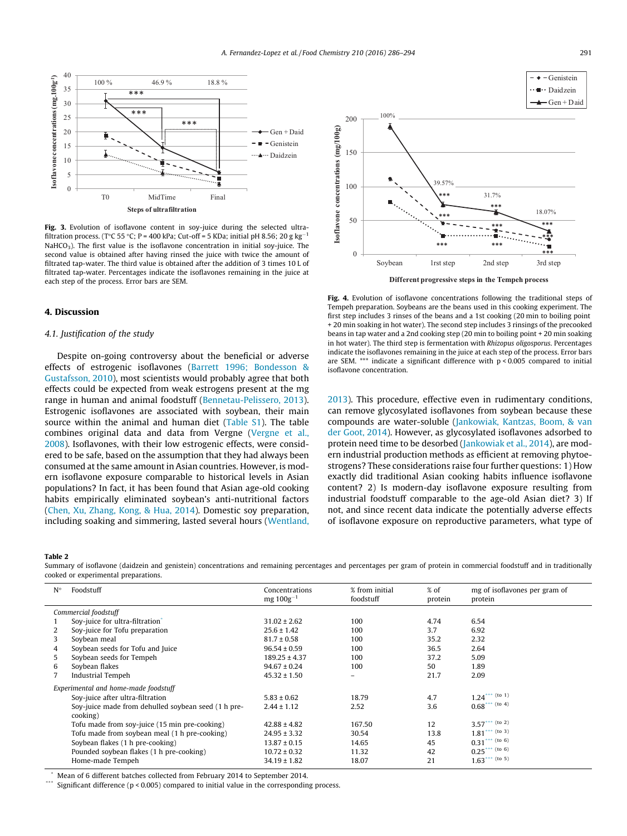

Fig. 3. Evolution of isoflavone content in soy-juice during the selected ultrafiltration process. (T°C 55 °C; P = 400 kPa; Cut-off = 5 KDa; initial pH 8.56; 20 g kg<sup>-1</sup> NaHCO<sub>3</sub>). The first value is the isoflavone concentration in initial soy-juice. The second value is obtained after having rinsed the juice with twice the amount of filtrated tap-water. The third value is obtained after the addition of 3 times 10 L of filtrated tap-water. Percentages indicate the isoflavones remaining in the juice at each step of the process. Error bars are SEM.

## 4. Discussion

## 4.1. Justification of the study

Despite on-going controversy about the beneficial or adverse effects of estrogenic isoflavones (Barrett 1996; Bondesson & Gustafsson, 2010), most scientists would probably agree that both effects could be expected from weak estrogens present at the mg range in human and animal foodstuff (Bennetau-Pelissero, 2013). Estrogenic isoflavones are associated with soybean, their main source within the animal and human diet (Table S1). The table combines original data and data from Vergne (Vergne et al., 2008). Isoflavones, with their low estrogenic effects, were considered to be safe, based on the assumption that they had always been consumed at the same amount in Asian countries. However, is modern isoflavone exposure comparable to historical levels in Asian populations? In fact, it has been found that Asian age-old cooking habits empirically eliminated soybean's anti-nutritional factors (Chen, Xu, Zhang, Kong, & Hua, 2014). Domestic soy preparation, including soaking and simmering, lasted several hours (Wentland,



Fig. 4. Evolution of isoflavone concentrations following the traditional steps of Tempeh preparation. Soybeans are the beans used in this cooking experiment. The first step includes 3 rinses of the beans and a 1st cooking (20 min to boiling point + 20 min soaking in hot water). The second step includes 3 rinsings of the precooked beans in tap water and a 2nd cooking step (20 min to boiling point + 20 min soaking in hot water). The third step is fermentation with Rhizopus oligosporus. Percentages indicate the isoflavones remaining in the juice at each step of the process. Error bars are SEM. \*\*\* indicate a significant difference with p < 0.005 compared to initial isoflavone concentration.

2013). This procedure, effective even in rudimentary conditions, can remove glycosylated isoflavones from soybean because these compounds are water-soluble (Jankowiak, Kantzas, Boom, & van der Goot, 2014). However, as glycosylated isoflavones adsorbed to protein need time to be desorbed (Jankowiak et al., 2014), are modern industrial production methods as efficient at removing phytoestrogens? These considerations raise four further questions: 1) How exactly did traditional Asian cooking habits influence isoflavone content? 2) Is modern-day isoflavone exposure resulting from industrial foodstuff comparable to the age-old Asian diet? 3) If not, and since recent data indicate the potentially adverse effects of isoflavone exposure on reproductive parameters, what type of

## Table 2

Summary of isoflavone (daidzein and genistein) concentrations and remaining percentages and percentages per gram of protein in commercial foodstuff and in traditionally cooked or experimental preparations.

| $N^{\circ}$ | Foodstuff                                                       | Concentrations<br>$mg 100g^{-1}$ | % from initial<br>foodstuff | % of<br>protein | mg of isoflavones per gram of<br>protein |
|-------------|-----------------------------------------------------------------|----------------------------------|-----------------------------|-----------------|------------------------------------------|
|             | Commercial foodstuff                                            |                                  |                             |                 |                                          |
|             | Soy-juice for ultra-filtration                                  | $31.02 \pm 2.62$                 | 100                         | 4.74            | 6.54                                     |
| 2           | Soy-juice for Tofu preparation                                  | $25.6 \pm 1.42$                  | 100                         | 3.7             | 6.92                                     |
| 3           | Soybean meal                                                    | $81.7 \pm 0.58$                  | 100                         | 35.2            | 2.32                                     |
| 4           | Soybean seeds for Tofu and Juice                                | $96.54 \pm 0.59$                 | 100                         | 36.5            | 2.64                                     |
| 5           | Soybean seeds for Tempeh                                        | $189.25 \pm 4.37$                | 100                         | 37.2            | 5.09                                     |
| 6           | Soybean flakes                                                  | $94.67 \pm 0.24$                 | 100                         | 50              | 1.89                                     |
|             | Industrial Tempeh                                               | $45.32 \pm 1.50$                 |                             | 21.7            | 2.09                                     |
|             | Experimental and home-made foodstuff                            |                                  |                             |                 |                                          |
|             | Soy-juice after ultra-filtration                                | $5.83 \pm 0.62$                  | 18.79                       | 4.7             | $1.24$ <sup>***</sup> (to 1)             |
|             | Soy-juice made from dehulled soybean seed (1 h pre-<br>cooking) | $2.44 \pm 1.12$                  | 2.52                        | 3.6             | $0.68***$ (to 4)                         |
|             | Tofu made from soy-juice (15 min pre-cooking)                   | $42.88 \pm 4.82$                 | 167.50                      | 12              | $3.57***$ (to 2)                         |
|             | Tofu made from soybean meal (1 h pre-cooking)                   | $24.95 \pm 3.32$                 | 30.54                       | 13.8            | $1.81***$ (to 3)                         |
|             | Soybean flakes (1 h pre-cooking)                                | $13.87 \pm 0.15$                 | 14.65                       | 45              | $0.31***$ (to 6)                         |
|             | Pounded soybean flakes (1 h pre-cooking)                        | $10.72 \pm 0.32$                 | 11.32                       | 42              | $0.25***$ (to 6)                         |
|             | Home-made Tempeh                                                | $34.19 \pm 1.82$                 | 18.07                       | 21              | $1.63***$ (to 5)                         |

Mean of 6 different batches collected from February 2014 to September 2014.

Significant difference ( $p < 0.005$ ) compared to initial value in the corresponding process.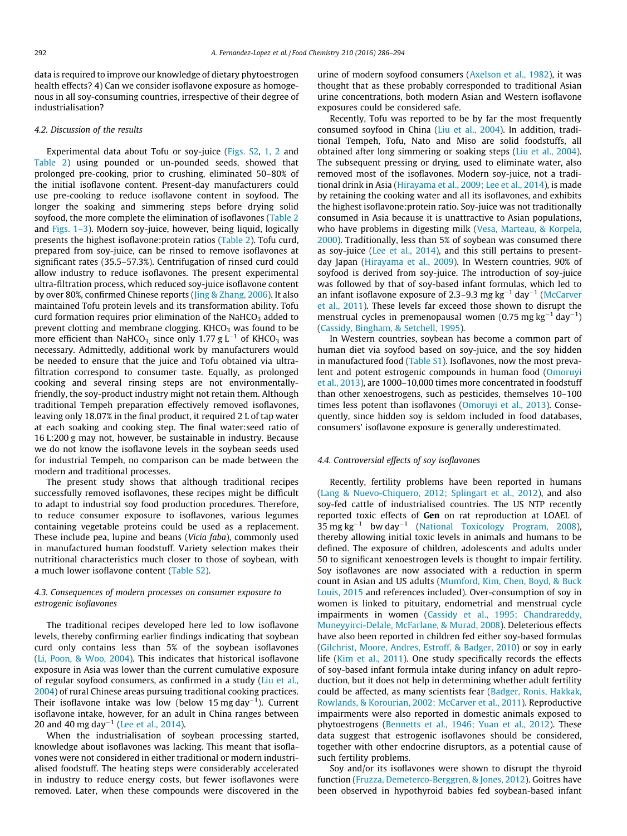data is required to improve our knowledge of dietary phytoestrogen health effects? 4) Can we consider isoflavone exposure as homogenous in all soy-consuming countries, irrespective of their degree of industrialisation?

## 4.2. Discussion of the results

Experimental data about Tofu or soy-juice (Figs. S2, 1, 2 and Table 2) using pounded or un-pounded seeds, showed that prolonged pre-cooking, prior to crushing, eliminated 50–80% of the initial isoflavone content. Present-day manufacturers could use pre-cooking to reduce isoflavone content in soyfood. The longer the soaking and simmering steps before drying solid soyfood, the more complete the elimination of isoflavones (Table 2 and Figs. 1–3). Modern soy-juice, however, being liquid, logically presents the highest isoflavone:protein ratios (Table 2). Tofu curd, prepared from soy-juice, can be rinsed to remove isoflavones at significant rates (35.5–57.3%). Centrifugation of rinsed curd could allow industry to reduce isoflavones. The present experimental ultra-filtration process, which reduced soy-juice isoflavone content by over 80%, confirmed Chinese reports (Jing & Zhang, 2006). It also maintained Tofu protein levels and its transformation ability. Tofu curd formation requires prior elimination of the NaHCO<sub>3</sub> added to prevent clotting and membrane clogging.  $KHCO<sub>3</sub>$  was found to be more efficient than NaHCO<sub>3,</sub> since only 1.77 g  $L^{-1}$  of KHCO<sub>3</sub> was necessary. Admittedly, additional work by manufacturers would be needed to ensure that the juice and Tofu obtained via ultrafiltration correspond to consumer taste. Equally, as prolonged cooking and several rinsing steps are not environmentallyfriendly, the soy-product industry might not retain them. Although traditional Tempeh preparation effectively removed isoflavones, leaving only 18.07% in the final product, it required 2 L of tap water at each soaking and cooking step. The final water:seed ratio of 16 L:200 g may not, however, be sustainable in industry. Because we do not know the isoflavone levels in the soybean seeds used for industrial Tempeh, no comparison can be made between the modern and traditional processes.

The present study shows that although traditional recipes successfully removed isoflavones, these recipes might be difficult to adapt to industrial soy food production procedures. Therefore, to reduce consumer exposure to isoflavones, various legumes containing vegetable proteins could be used as a replacement. These include pea, lupine and beans (Vicia faba), commonly used in manufactured human foodstuff. Variety selection makes their nutritional characteristics much closer to those of soybean, with a much lower isoflavone content (Table S2).

## 4.3. Consequences of modern processes on consumer exposure to estrogenic isoflavones

The traditional recipes developed here led to low isoflavone levels, thereby confirming earlier findings indicating that soybean curd only contains less than 5% of the soybean isoflavones (Li, Poon, & Woo, 2004). This indicates that historical isoflavone exposure in Asia was lower than the current cumulative exposure of regular soyfood consumers, as confirmed in a study (Liu et al., 2004) of rural Chinese areas pursuing traditional cooking practices. Their isoflavone intake was low (below 15 mg day<sup>-1</sup>). Current isoflavone intake, however, for an adult in China ranges between 20 and 40 mg day<sup>-1</sup> (Lee et al., 2014).

When the industrialisation of soybean processing started, knowledge about isoflavones was lacking. This meant that isoflavones were not considered in either traditional or modern industrialised foodstuff. The heating steps were considerably accelerated in industry to reduce energy costs, but fewer isoflavones were removed. Later, when these compounds were discovered in the

urine of modern soyfood consumers (Axelson et al., 1982), it was thought that as these probably corresponded to traditional Asian urine concentrations, both modern Asian and Western isoflavone exposures could be considered safe.

Recently, Tofu was reported to be by far the most frequently consumed soyfood in China (Liu et al., 2004). In addition, traditional Tempeh, Tofu, Nato and Miso are solid foodstuffs, all obtained after long simmering or soaking steps (Liu et al., 2004). The subsequent pressing or drying, used to eliminate water, also removed most of the isoflavones. Modern soy-juice, not a traditional drink in Asia (Hirayama et al., 2009; Lee et al., 2014), is made by retaining the cooking water and all its isoflavones, and exhibits the highest isoflavone:protein ratio. Soy-juice was not traditionally consumed in Asia because it is unattractive to Asian populations, who have problems in digesting milk (Vesa, Marteau, & Korpela, 2000). Traditionally, less than 5% of soybean was consumed there as soy-juice (Lee et al., 2014), and this still pertains to presentday Japan (Hirayama et al., 2009). In Western countries, 90% of soyfood is derived from soy-juice. The introduction of soy-juice was followed by that of soy-based infant formulas, which led to an infant isoflavone exposure of 2.3–9.3 mg kg<sup>-1</sup> day<sup>-1</sup> (McCarver et al., 2011). These levels far exceed those shown to disrupt the menstrual cycles in premenopausal women (0.75 mg  $kg^{-1}$  day<sup>-1</sup>) (Cassidy, Bingham, & Setchell, 1995).

In Western countries, soybean has become a common part of human diet via soyfood based on soy-juice, and the soy hidden in manufactured food (Table S1). Isoflavones, now the most prevalent and potent estrogenic compounds in human food (Omoruyi et al., 2013), are 1000–10,000 times more concentrated in foodstuff than other xenoestrogens, such as pesticides, themselves 10–100 times less potent than isoflavones (Omoruyi et al., 2013). Consequently, since hidden soy is seldom included in food databases, consumers' isoflavone exposure is generally underestimated.

## 4.4. Controversial effects of soy isoflavones

Recently, fertility problems have been reported in humans (Lang & Nuevo-Chiquero, 2012; Splingart et al., 2012), and also soy-fed cattle of industrialised countries. The US NTP recently reported toxic effects of Gen on rat reproduction at LOAEL of 35 mg kg<sup>-1</sup> bw day<sup>-1</sup> (National Toxicology Program, 2008), thereby allowing initial toxic levels in animals and humans to be defined. The exposure of children, adolescents and adults under 50 to significant xenoestrogen levels is thought to impair fertility. Soy isoflavones are now associated with a reduction in sperm count in Asian and US adults (Mumford, Kim, Chen, Boyd, & Buck Louis, 2015 and references included). Over-consumption of soy in women is linked to pituitary, endometrial and menstrual cycle impairments in women (Cassidy et al., 1995; Chandrareddy, Muneyyirci-Delale, McFarlane, & Murad, 2008). Deleterious effects have also been reported in children fed either soy-based formulas (Gilchrist, Moore, Andres, Estroff, & Badger, 2010) or soy in early life (Kim et al., 2011). One study specifically records the effects of soy-based infant formula intake during infancy on adult reproduction, but it does not help in determining whether adult fertility could be affected, as many scientists fear (Badger, Ronis, Hakkak, Rowlands, & Korourian, 2002; McCarver et al., 2011). Reproductive impairments were also reported in domestic animals exposed to phytoestrogens (Bennetts et al., 1946; Yuan et al., 2012). These data suggest that estrogenic isoflavones should be considered, together with other endocrine disruptors, as a potential cause of such fertility problems.

Soy and/or its isoflavones were shown to disrupt the thyroid function (Fruzza, Demeterco-Berggren, & Jones, 2012). Goitres have been observed in hypothyroid babies fed soybean-based infant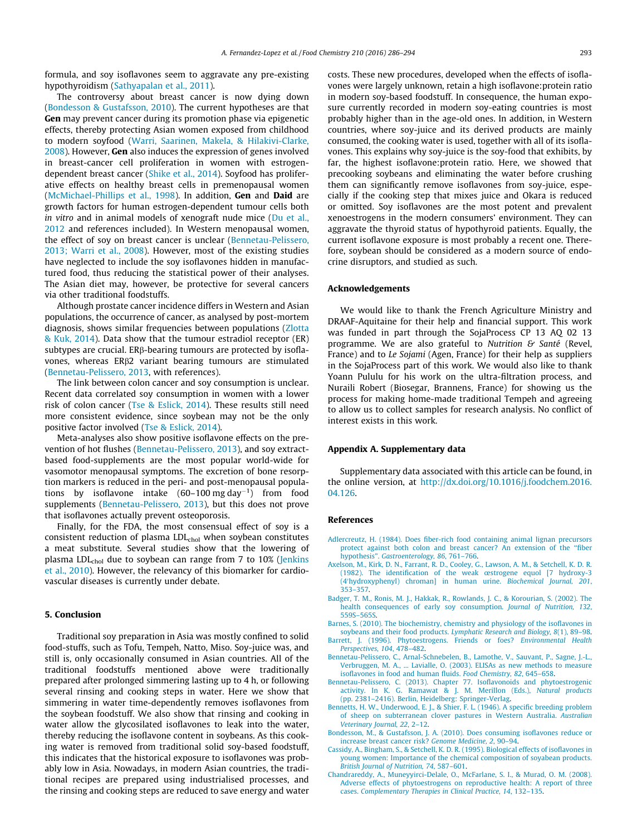formula, and soy isoflavones seem to aggravate any pre-existing hypothyroidism (Sathyapalan et al., 2011).

The controversy about breast cancer is now dying down (Bondesson & Gustafsson, 2010). The current hypotheses are that Gen may prevent cancer during its promotion phase via epigenetic effects, thereby protecting Asian women exposed from childhood to modern soyfood (Warri, Saarinen, Makela, & Hilakivi-Clarke, 2008). However, Gen also induces the expression of genes involved in breast-cancer cell proliferation in women with estrogendependent breast cancer (Shike et al., 2014). Soyfood has proliferative effects on healthy breast cells in premenopausal women (McMichael-Phillips et al., 1998). In addition, Gen and Daid are growth factors for human estrogen-dependent tumour cells both in vitro and in animal models of xenograft nude mice (Du et al., 2012 and references included). In Western menopausal women, the effect of soy on breast cancer is unclear (Bennetau-Pelissero, 2013; Warri et al., 2008). However, most of the existing studies have neglected to include the soy isoflavones hidden in manufactured food, thus reducing the statistical power of their analyses. The Asian diet may, however, be protective for several cancers via other traditional foodstuffs.

Although prostate cancer incidence differs in Western and Asian populations, the occurrence of cancer, as analysed by post-mortem diagnosis, shows similar frequencies between populations (Zlotta & Kuk, 2014). Data show that the tumour estradiol receptor (ER) subtypes are crucial.  $ER\beta$ -bearing tumours are protected by isoflavones, whereas  $ER\beta2$  variant bearing tumours are stimulated (Bennetau-Pelissero, 2013, with references).

The link between colon cancer and soy consumption is unclear. Recent data correlated soy consumption in women with a lower risk of colon cancer (Tse & Eslick, 2014). These results still need more consistent evidence, since soybean may not be the only positive factor involved (Tse & Eslick, 2014).

Meta-analyses also show positive isoflavone effects on the prevention of hot flushes (Bennetau-Pelissero, 2013), and soy extractbased food-supplements are the most popular world-wide for vasomotor menopausal symptoms. The excretion of bone resorption markers is reduced in the peri- and post-menopausal populations by isoflavone intake  $(60-100 \text{ mg day}^{-1})$  from food supplements (Bennetau-Pelissero, 2013), but this does not prove that isoflavones actually prevent osteoporosis.

Finally, for the FDA, the most consensual effect of soy is a consistent reduction of plasma LDL<sub>chol</sub> when soybean constitutes a meat substitute. Several studies show that the lowering of plasma LDL<sub>chol</sub> due to soybean can range from  $\frac{7}{10}$  to  $\frac{10\%}{10}$  (Jenkins et al., 2010). However, the relevancy of this biomarker for cardiovascular diseases is currently under debate.

## 5. Conclusion

Traditional soy preparation in Asia was mostly confined to solid food-stuffs, such as Tofu, Tempeh, Natto, Miso. Soy-juice was, and still is, only occasionally consumed in Asian countries. All of the traditional foodstuffs mentioned above were traditionally prepared after prolonged simmering lasting up to 4 h, or following several rinsing and cooking steps in water. Here we show that simmering in water time-dependently removes isoflavones from the soybean foodstuff. We also show that rinsing and cooking in water allow the glycosilated isoflavones to leak into the water, thereby reducing the isoflavone content in soybeans. As this cooking water is removed from traditional solid soy-based foodstuff, this indicates that the historical exposure to isoflavones was probably low in Asia. Nowadays, in modern Asian countries, the traditional recipes are prepared using industrialised processes, and the rinsing and cooking steps are reduced to save energy and water costs. These new procedures, developed when the effects of isoflavones were largely unknown, retain a high isoflavone:protein ratio in modern soy-based foodstuff. In consequence, the human exposure currently recorded in modern soy-eating countries is most probably higher than in the age-old ones. In addition, in Western countries, where soy-juice and its derived products are mainly consumed, the cooking water is used, together with all of its isoflavones. This explains why soy-juice is the soy-food that exhibits, by far, the highest isoflavone:protein ratio. Here, we showed that precooking soybeans and eliminating the water before crushing them can significantly remove isoflavones from soy-juice, especially if the cooking step that mixes juice and Okara is reduced or omitted. Soy isoflavones are the most potent and prevalent xenoestrogens in the modern consumers' environment. They can aggravate the thyroid status of hypothyroid patients. Equally, the current isoflavone exposure is most probably a recent one. Therefore, soybean should be considered as a modern source of endocrine disruptors, and studied as such.

## Acknowledgements

We would like to thank the French Agriculture Ministry and DRAAF-Aquitaine for their help and financial support. This work was funded in part through the SojaProcess CP 13 AQ 02 13 programme. We are also grateful to Nutrition & Santé (Revel, France) and to Le Sojami (Agen, France) for their help as suppliers in the SojaProcess part of this work. We would also like to thank Yoann Pululu for his work on the ultra-filtration process, and Nuraili Robert (Biosegar, Brannens, France) for showing us the process for making home-made traditional Tempeh and agreeing to allow us to collect samples for research analysis. No conflict of interest exists in this work.

## Appendix A. Supplementary data

Supplementary data associated with this article can be found, in the online version, at [http://dx.doi.org/10.1016/j.foodchem.2016.](http://dx.doi.org/10.1016/j.foodchem.2016.04.126) [04.126](http://dx.doi.org/10.1016/j.foodchem.2016.04.126).

#### References

- [Adlercreutz, H. \(1984\). Does fiber-rich food containing animal lignan precursors](http://refhub.elsevier.com/S0308-8146(16)30653-7/h0005) [protect against both colon and breast cancer? An extension of the ''fiber](http://refhub.elsevier.com/S0308-8146(16)30653-7/h0005) [hypothesis](http://refhub.elsevier.com/S0308-8146(16)30653-7/h0005)". [Gastroenterology, 86](http://refhub.elsevier.com/S0308-8146(16)30653-7/h0005), 761–766.
- [Axelson, M., Kirk, D. N., Farrant, R. D., Cooley, G., Lawson, A. M., & Setchell, K. D. R.](http://refhub.elsevier.com/S0308-8146(16)30653-7/h0010) [\(1982\). The identification of the weak](http://refhub.elsevier.com/S0308-8146(16)30653-7/h0010) [œstrogene equol \[7 hydroxy-3](http://refhub.elsevier.com/S0308-8146(16)30653-7/h0010) [\(4](http://refhub.elsevier.com/S0308-8146(16)30653-7/h0010)'[hydroxyphenyl\) chroman\] in human urine.](http://refhub.elsevier.com/S0308-8146(16)30653-7/h0010) Biochemical Journal, 201, [353–357](http://refhub.elsevier.com/S0308-8146(16)30653-7/h0010).
- [Badger, T. M., Ronis, M. J., Hakkak, R., Rowlands, J. C., & Korourian, S. \(2002\). The](http://refhub.elsevier.com/S0308-8146(16)30653-7/h0015) [health consequences of early soy consumption.](http://refhub.elsevier.com/S0308-8146(16)30653-7/h0015) Journal of Nutrition, 132, [559S–565S.](http://refhub.elsevier.com/S0308-8146(16)30653-7/h0015)
- [Barnes, S. \(2010\). The biochemistry, chemistry and physiology of the isoflavones in](http://refhub.elsevier.com/S0308-8146(16)30653-7/h0020) [soybeans and their food products.](http://refhub.elsevier.com/S0308-8146(16)30653-7/h0020) Lymphatic Research and Biology, 8(1), 89–98.
- [Barrett, J. \(1996\). Phytoestrogens. Friends or foes?](http://refhub.elsevier.com/S0308-8146(16)30653-7/h0025) Environmental Health [Perspectives, 104](http://refhub.elsevier.com/S0308-8146(16)30653-7/h0025), 478–482.
- [Bennetau-Pelissero, C., Arnal-Schnebelen, B., Lamothe, V., Sauvant, P., Sagne, J.-L.,](http://refhub.elsevier.com/S0308-8146(16)30653-7/h0030) [Verbruggen, M. A., ... Lavialle, O. \(2003\). ELISAs as new methods to measure](http://refhub.elsevier.com/S0308-8146(16)30653-7/h0030) [isoflavones in food and human fluids.](http://refhub.elsevier.com/S0308-8146(16)30653-7/h0030) Food Chemistry, 82, 645–658.
- [Bennetau-Pelissero, C. \(2013\). Chapter 77. Isoflavonoids and phytoestrogenic](http://refhub.elsevier.com/S0308-8146(16)30653-7/h0035) [activity. In K. G. Ramawat & J. M. Merillon \(Eds.\),](http://refhub.elsevier.com/S0308-8146(16)30653-7/h0035) Natural products [\(pp. 2381–2416\). Berlin, Heidelberg: Springer-Verlag](http://refhub.elsevier.com/S0308-8146(16)30653-7/h0035).
- [Bennetts, H. W., Underwood, E. J., & Shier, F. L. \(1946\). A specific breeding problem](http://refhub.elsevier.com/S0308-8146(16)30653-7/h0040) [of sheep on subterranean clover pastures in Western Australia.](http://refhub.elsevier.com/S0308-8146(16)30653-7/h0040) Australian [Veterinary Journal, 22](http://refhub.elsevier.com/S0308-8146(16)30653-7/h0040), 2–12.
- [Bondesson, M., & Gustafsson, J. A. \(2010\). Does consuming isoflavones reduce or](http://refhub.elsevier.com/S0308-8146(16)30653-7/h0045) [increase breast cancer risk?](http://refhub.elsevier.com/S0308-8146(16)30653-7/h0045) Genome Medicine, 2, 90–94.
- [Cassidy, A., Bingham, S., & Setchell, K. D. R. \(1995\). Biological effects of isoflavones in](http://refhub.elsevier.com/S0308-8146(16)30653-7/h0050) [young women: Importance of the chemical composition of soyabean products.](http://refhub.elsevier.com/S0308-8146(16)30653-7/h0050) [British Journal of Nutrition, 74](http://refhub.elsevier.com/S0308-8146(16)30653-7/h0050), 587–601.
- [Chandrareddy, A., Muneyyirci-Delale, O., McFarlane, S. I., & Murad, O. M. \(2008\).](http://refhub.elsevier.com/S0308-8146(16)30653-7/h0055) [Adverse effects of phytoestrogens on reproductive health: A report of three](http://refhub.elsevier.com/S0308-8146(16)30653-7/h0055) cases. [Complementary Therapies in Clinical Practice, 14](http://refhub.elsevier.com/S0308-8146(16)30653-7/h0055), 132–135.